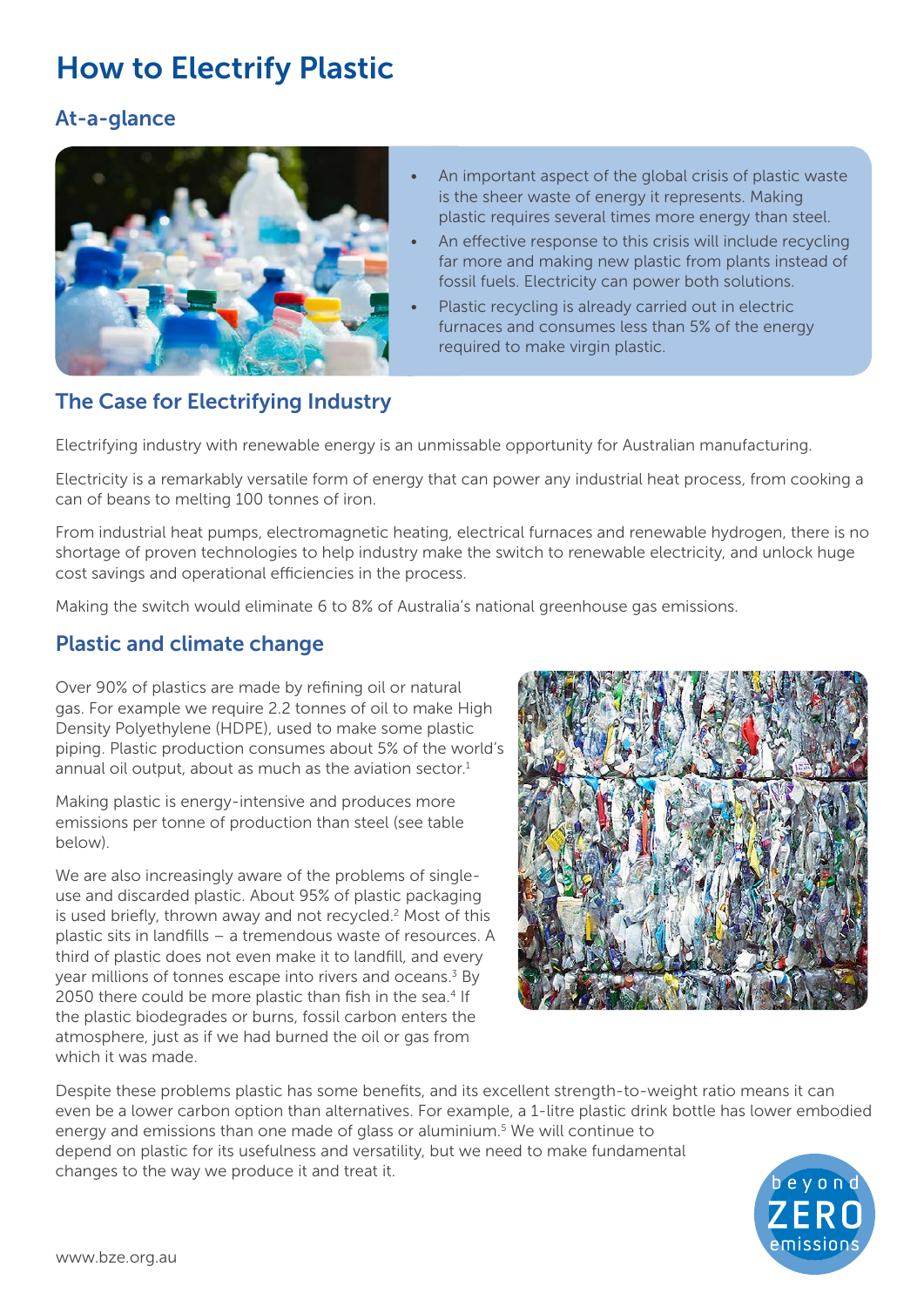# How to Electrify Plastic

#### At-a-glance



- An important aspect of the global crisis of plastic waste is the sheer waste of energy it represents. Making plastic requires several times more energy than steel.
- An effective response to this crisis will include recycling far more and making new plastic from plants instead of fossil fuels. Electricity can power both solutions.
- Plastic recycling is already carried out in electric furnaces and consumes less than 5% of the energy required to make virgin plastic.

## The Case for Electrifying Industry

Electrifying industry with renewable energy is an unmissable opportunity for Australian manufacturing.

Electricity is a remarkably versatile form of energy that can power any industrial heat process, from cooking a can of beans to melting 100 tonnes of iron.

From industrial heat pumps, electromagnetic heating, electrical furnaces and renewable hydrogen, there is no shortage of proven technologies to help industry make the switch to renewable electricity, and unlock huge cost savings and operational efficiencies in the process.

Making the switch would eliminate 6 to 8% of Australia's national greenhouse gas emissions.

#### Plastic and climate change

Over 90% of plastics are made by refining oil or natural gas. For example we require 2.2 tonnes of oil to make High Density Polyethylene (HDPE), used to make some plastic piping. Plastic production consumes about 5% of the world's annual oil output, about as much as the aviation sector.<sup>1</sup>

Making plastic is energy-intensive and produces more emissions per tonne of production than steel (see table below).

We are also increasingly aware of the problems of singleuse and discarded plastic. About 95% of plastic packaging is used briefly, thrown away and not recycled.<sup>2</sup> Most of this plastic sits in landfills – a tremendous waste of resources. A third of plastic does not even make it to landfill, and every year millions of tonnes escape into rivers and oceans.<sup>3</sup> By 2050 there could be more plastic than fish in the sea.<sup>4</sup> If the plastic biodegrades or burns, fossil carbon enters the atmosphere, just as if we had burned the oil or gas from which it was made.



Despite these problems plastic has some benefits, and its excellent strength-to-weight ratio means it can even be a lower carbon option than alternatives. For example, a 1-litre plastic drink bottle has lower embodied energy and emissions than one made of glass or aluminium.<sup>5</sup> We will continue to depend on plastic for its usefulness and versatility, but we need to make fundamental changes to the way we produce it and treat it.

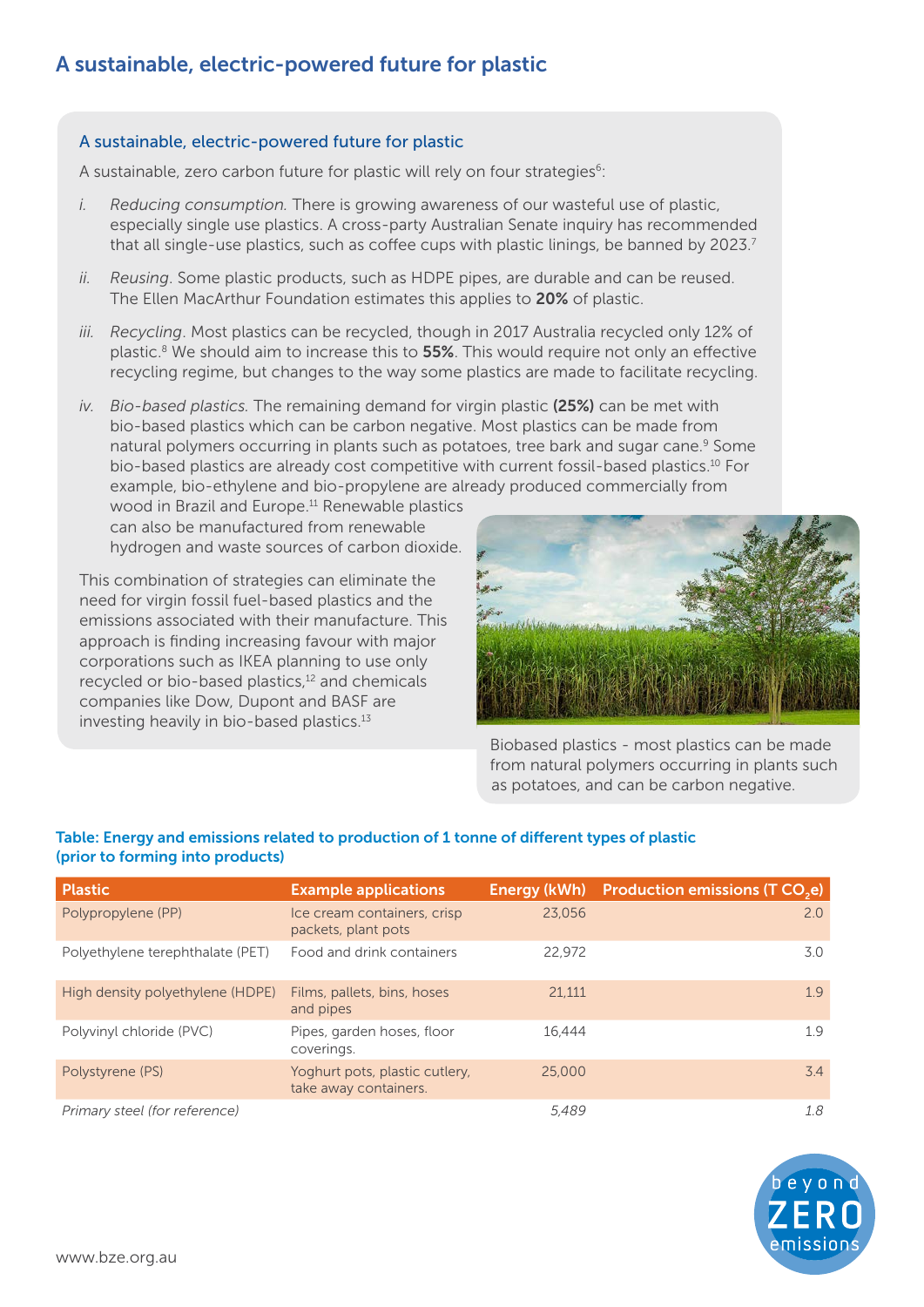#### A sustainable, electric-powered future for plastic

A sustainable, zero carbon future for plastic will rely on four strategies<sup>6</sup>:

- *i. Reducing consumption.* There is growing awareness of our wasteful use of plastic, especially single use plastics. A cross-party Australian Senate inquiry has recommended that all single-use plastics, such as coffee cups with plastic linings, be banned by 2023.<sup>7</sup>
- *ii. Reusing*. Some plastic products, such as HDPE pipes, are durable and can be reused. The Ellen MacArthur Foundation estimates this applies to 20% of plastic.
- *iii. Recycling*. Most plastics can be recycled, though in 2017 Australia recycled only 12% of plastic.<sup>8</sup> We should aim to increase this to **55%**. This would require not only an effective recycling regime, but changes to the way some plastics are made to facilitate recycling.
- *iv. Bio-based plastics.* The remaining demand for virgin plastic (25%) can be met with bio-based plastics which can be carbon negative. Most plastics can be made from natural polymers occurring in plants such as potatoes, tree bark and sugar cane.<sup>9</sup> Some bio-based plastics are already cost competitive with current fossil-based plastics.10 For example, bio-ethylene and bio-propylene are already produced commercially from

wood in Brazil and Europe.<sup>11</sup> Renewable plastics can also be manufactured from renewable hydrogen and waste sources of carbon dioxide.

This combination of strategies can eliminate the need for virgin fossil fuel-based plastics and the emissions associated with their manufacture. This approach is finding increasing favour with major corporations such as IKEA planning to use only recycled or bio-based plastics,<sup>12</sup> and chemicals companies like Dow, Dupont and BASF are investing heavily in bio-based plastics.<sup>13</sup>



Biobased plastics - most plastics can be made from natural polymers occurring in plants such as potatoes, and can be carbon negative.

#### Table: Energy and emissions related to production of 1 tonne of different types of plastic (prior to forming into products)

| <b>Plastic</b>                   | <b>Example applications</b>                             | <b>Energy (kWh)</b> | <b>Production emissions (T CO<sub>2</sub>e)</b> |
|----------------------------------|---------------------------------------------------------|---------------------|-------------------------------------------------|
| Polypropylene (PP)               | Ice cream containers, crisp<br>packets, plant pots      | 23.056              | 2.0                                             |
| Polyethylene terephthalate (PET) | Food and drink containers                               | 22.972              | 3.0                                             |
| High density polyethylene (HDPE) | Films, pallets, bins, hoses<br>and pipes                | 21.111              | 1.9                                             |
| Polyvinyl chloride (PVC)         | Pipes, garden hoses, floor<br>coverings.                | 16.444              | 1.9                                             |
| Polystyrene (PS)                 | Yoghurt pots, plastic cutlery,<br>take away containers. | 25,000              | 3.4                                             |
| Primary steel (for reference)    |                                                         | 5.489               | 1.8                                             |

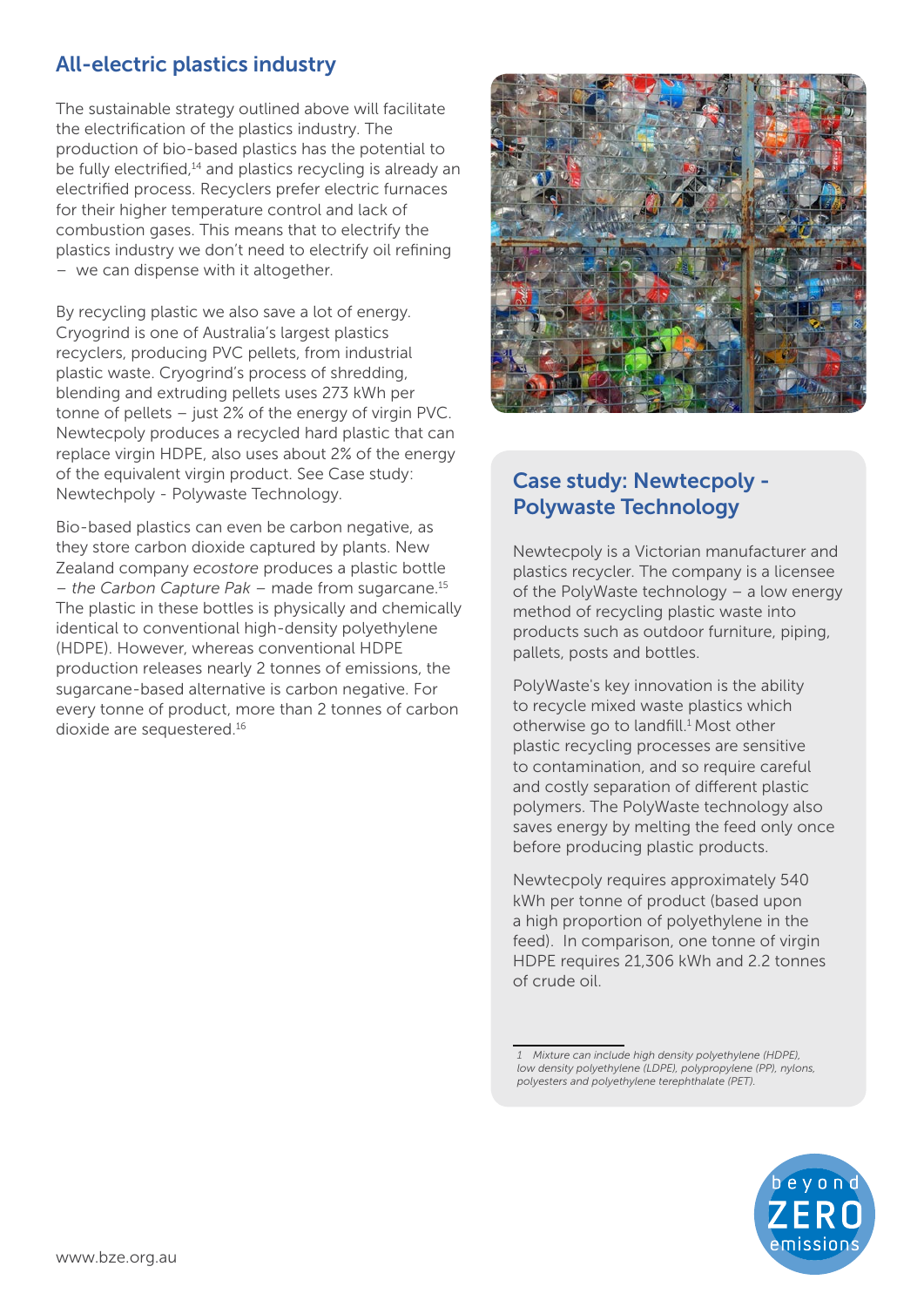## All-electric plastics industry

The sustainable strategy outlined above will facilitate the electrification of the plastics industry. The production of bio-based plastics has the potential to be fully electrified.<sup>14</sup> and plastics recycling is already an electrified process. Recyclers prefer electric furnaces for their higher temperature control and lack of combustion gases. This means that to electrify the plastics industry we don't need to electrify oil refining – we can dispense with it altogether.

By recycling plastic we also save a lot of energy. Cryogrind is one of Australia's largest plastics recyclers, producing PVC pellets, from industrial plastic waste. Cryogrind's process of shredding, blending and extruding pellets uses 273 kWh per tonne of pellets – just 2% of the energy of virgin PVC. Newtecpoly produces a recycled hard plastic that can replace virgin HDPE, also uses about 2% of the energy of the equivalent virgin product. See Case study: Newtechpoly - Polywaste Technology.

Bio-based plastics can even be carbon negative, as they store carbon dioxide captured by plants. New Zealand company *ecostore* produces a plastic bottle *– the Carbon Capture Pak –* made from sugarcane.15 The plastic in these bottles is physically and chemically identical to conventional high-density polyethylene (HDPE). However, whereas conventional HDPE production releases nearly 2 tonnes of emissions, the sugarcane-based alternative is carbon negative. For every tonne of product, more than 2 tonnes of carbon dioxide are sequestered.16



# Case study: Newtecpoly - Polywaste Technology

Newtecpoly is a Victorian manufacturer and plastics recycler. The company is a licensee of the PolyWaste technology – a low energy method of recycling plastic waste into products such as outdoor furniture, piping, pallets, posts and bottles.

PolyWaste's key innovation is the ability to recycle mixed waste plastics which otherwise go to landfill.<sup>1</sup> Most other plastic recycling processes are sensitive to contamination, and so require careful and costly separation of different plastic polymers. The PolyWaste technology also saves energy by melting the feed only once before producing plastic products.

Newtecpoly requires approximately 540 kWh per tonne of product (based upon a high proportion of polyethylene in the feed). In comparison, one tonne of virgin HDPE requires 21,306 kWh and 2.2 tonnes of crude oil.

*1 Mixture can include high density polyethylene (HDPE), low density polyethylene (LDPE), polypropylene (PP), nylons, polyesters and polyethylene terephthalate (PET).*